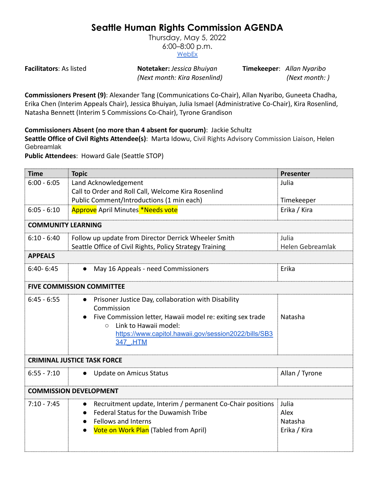## **Seattle Human Rights Commission AGENDA**

Thursday, May 5, 2022 6:00–8:00 p.m. [WebEx](https://www.seattle.gov/humanrights/calendar)

**Facilitators**: As listed **Notetaker:** *Jessica Bhuiyan* **Timekeeper**: *Allan Nyaribo (Next month: Kira Rosenlind) (Next month: )*

**Commissioners Present (9)**: Alexander Tang (Communications Co-Chair), Allan Nyaribo, Guneeta Chadha, Erika Chen (Interim Appeals Chair), Jessica Bhuiyan, Julia Ismael (Administrative Co-Chair), Kira Rosenlind, Natasha Bennett (Interim 5 Commissions Co-Chair), Tyrone Grandison

**Commissioners Absent (no more than 4 absent for quorum)**: Jackie Schultz

**Seattle Office of Civil Rights Attendee(s)**: Marta Idowu, Civil Rights Advisory Commission Liaison, Helen Gebreamlak

**Public Attendees**: Howard Gale (Seattle STOP)

| <b>Time</b>                        | <b>Topic</b>                                                                                                                                                                                                                               | Presenter                                |
|------------------------------------|--------------------------------------------------------------------------------------------------------------------------------------------------------------------------------------------------------------------------------------------|------------------------------------------|
| $6:00 - 6:05$                      | Land Acknowledgement<br>Call to Order and Roll Call, Welcome Kira Rosenlind<br>Public Comment/Introductions (1 min each)                                                                                                                   | Julia<br>Timekeeper                      |
| $6:05 - 6:10$                      | <b>Approve</b> April Minutes *Needs vote                                                                                                                                                                                                   | Erika / Kira                             |
|                                    |                                                                                                                                                                                                                                            |                                          |
| <b>COMMUNITY LEARNING</b>          |                                                                                                                                                                                                                                            |                                          |
| $6:10 - 6:40$                      | Follow up update from Director Derrick Wheeler Smith<br>Seattle Office of Civil Rights, Policy Strategy Training                                                                                                                           | Julia<br>Helen Gebreamlak                |
| <b>APPEALS</b>                     |                                                                                                                                                                                                                                            |                                          |
| $6:40 - 6:45$                      | May 16 Appeals - need Commissioners                                                                                                                                                                                                        | Erika                                    |
| <b>FIVE COMMISSION COMMITTEE</b>   |                                                                                                                                                                                                                                            |                                          |
| $6:45 - 6:55$                      | Prisoner Justice Day, collaboration with Disability<br>Commission<br>Five Commission letter, Hawaii model re: exiting sex trade<br>Link to Hawaii model:<br>$\bigcirc$<br>https://www.capitol.hawaii.gov/session2022/bills/SB3<br>347 .HTM | Natasha                                  |
| <b>CRIMINAL JUSTICE TASK FORCE</b> |                                                                                                                                                                                                                                            |                                          |
| $6:55 - 7:10$                      | <b>Update on Amicus Status</b>                                                                                                                                                                                                             | Allan / Tyrone                           |
| <b>COMMISSION DEVELOPMENT</b>      |                                                                                                                                                                                                                                            |                                          |
| $7:10 - 7:45$                      | Recruitment update, Interim / permanent Co-Chair positions<br>Federal Status for the Duwamish Tribe<br>Fellows and Interns<br>Vote on Work Plan (Tabled from April)                                                                        | Julia<br>Alex<br>Natasha<br>Erika / Kira |